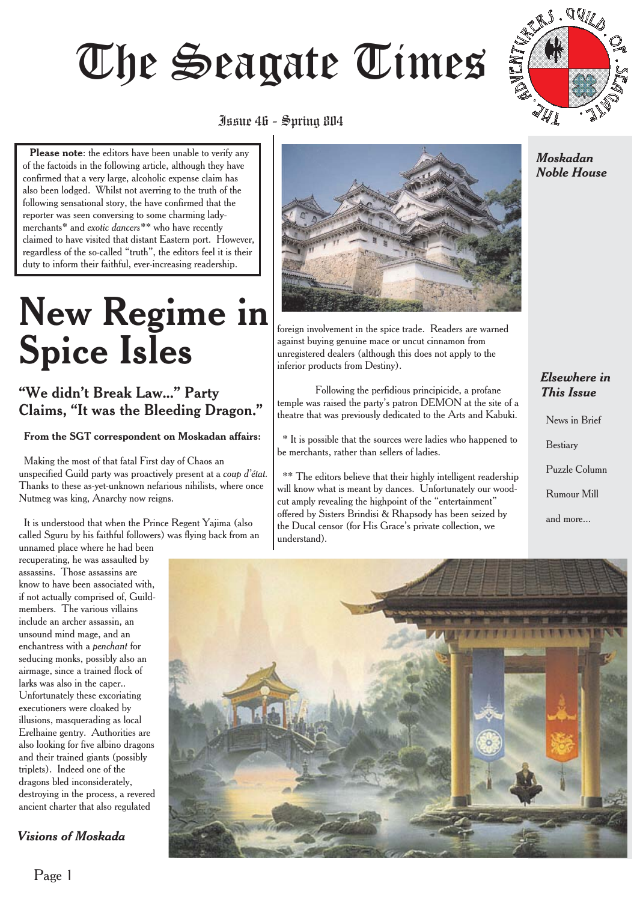# Juur 46 - Spring 8114



# $\frac{1}{1}$

**Please note**: the editors have been unable to verify any of the factoids in the following article, although they have confirmed that a very large, alcoholic expense claim has also been lodged. Whilst not averring to the truth of the following sensational story, the have confirmed that the reporter was seen conversing to some charming ladymerchants\* and *exotic dancers\*\** who have recently claimed to have visited that distant Eastern port. However, regardless of the so-called "truth", the editors feel it is their duty to inform their faithful, ever-increasing readership.

# **New Regime in Spice Isles**

#### "We didn't Break Law..." Party Claims, "It was the Bleeding Dragon."

#### **From the SGT correspondent on Moskadan affairs:**

Making the most of that fatal First day of Chaos an unspecified Guild party was proactively present at a *coup d'état.* Thanks to these as-yet-unknown nefarious nihilists, where once Nutmeg was king, Anarchy now reigns.

It is understood that when the Prince Regent Yajima (also called Sguru by his faithful followers) was flying back from an

unnamed place where he had been recuperating, he was assaulted by assassins. Those assassins are know to have been associated with, if not actually comprised of, Guildmembers. The various villains include an archer assassin, an unsound mind mage, and an enchantress with a *penchant* for seducing monks, possibly also an airmage, since a trained flock of larks was also in the caper.. Unfortunately these excoriating executioners were cloaked by illusions, masquerading as local Erelhaine gentry. Authorities are also looking for five albino dragons and their trained giants (possibly triplets). Indeed one of the dragons bled inconsiderately, destroying in the process, a revered ancient charter that also regulated

#### *Visions of Moskada*



foreign involvement in the spice trade. Readers are warned against buying genuine mace or uncut cinnamon from unregistered dealers (although this does not apply to the inferior products from Destiny).

Following the perfidious principicide, a profane temple was raised the party's patron DEMON at the site of a theatre that was previously dedicated to the Arts and Kabuki.

\* It is possible that the sources were ladies who happened to be merchants, rather than sellers of ladies.

\*\* The editors believe that their highly intelligent readership will know what is meant by dances. Unfortunately our woodcut amply revealing the highpoint of the "entertainment" offered by Sisters Brindisi & Rhapsody has been seized by the Ducal censor (for His Grace's private collection, we understand)*.*

#### *Moskadan Noble House*

#### *Elsewhere in This Issue*

News in Brief Bestiary Puzzle Column Rumour Mill and more...

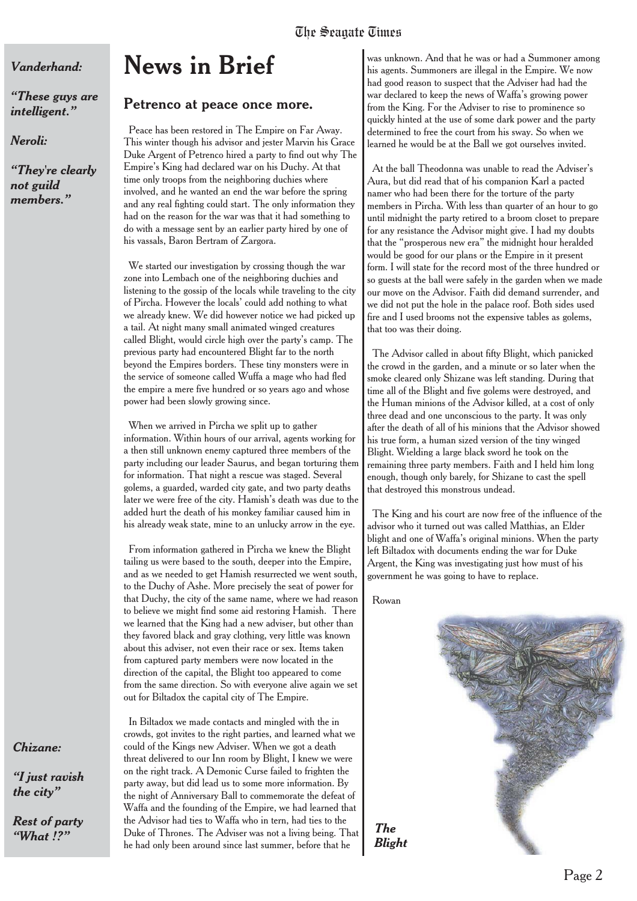#### *Vanderhand:*

*"These guys are intelligent."*

*Neroli:*

*"They're clearly not guild members."*

# **News in Brief**

#### **Petrenco at peace once more.**

Peace has been restored in The Empire on Far Away. This winter though his advisor and jester Marvin his Grace Duke Argent of Petrenco hired a party to find out why The Empire's King had declared war on his Duchy. At that time only troops from the neighboring duchies where involved, and he wanted an end the war before the spring and any real fighting could start. The only information they had on the reason for the war was that it had something to do with a message sent by an earlier party hired by one of his vassals, Baron Bertram of Zargora.

We started our investigation by crossing though the war zone into Lembach one of the neighboring duchies and listening to the gossip of the locals while traveling to the city of Pircha. However the locals' could add nothing to what we already knew. We did however notice we had picked up a tail. At night many small animated winged creatures called Blight, would circle high over the party's camp. The previous party had encountered Blight far to the north beyond the Empires borders. These tiny monsters were in the service of someone called Wuffa a mage who had fled the empire a mere five hundred or so years ago and whose power had been slowly growing since.

When we arrived in Pircha we split up to gather information. Within hours of our arrival, agents working for a then still unknown enemy captured three members of the party including our leader Saurus, and began torturing them for information. That night a rescue was staged. Several golems, a guarded, warded city gate, and two party deaths later we were free of the city. Hamish's death was due to the added hurt the death of his monkey familiar caused him in his already weak state, mine to an unlucky arrow in the eye.

From information gathered in Pircha we knew the Blight tailing us were based to the south, deeper into the Empire, and as we needed to get Hamish resurrected we went south, to the Duchy of Ashe. More precisely the seat of power for that Duchy, the city of the same name, where we had reason to believe we might find some aid restoring Hamish. There we learned that the King had a new adviser, but other than they favored black and gray clothing, very little was known about this adviser, not even their race or sex. Items taken from captured party members were now located in the direction of the capital, the Blight too appeared to come from the same direction. So with everyone alive again we set out for Biltadox the capital city of The Empire.

In Biltadox we made contacts and mingled with the in crowds, got invites to the right parties, and learned what we could of the Kings new Adviser. When we got a death threat delivered to our Inn room by Blight, I knew we were on the right track. A Demonic Curse failed to frighten the party away, but did lead us to some more information. By the night of Anniversary Ball to commemorate the defeat of Waffa and the founding of the Empire, we had learned that the Advisor had ties to Waffa who in tern, had ties to the Duke of Thrones. The Adviser was not a living being. That he had only been around since last summer, before that he

was unknown. And that he was or had a Summoner among his agents. Summoners are illegal in the Empire. We now had good reason to suspect that the Adviser had had the war declared to keep the news of Waffa's growing power from the King. For the Adviser to rise to prominence so quickly hinted at the use of some dark power and the party determined to free the court from his sway. So when we learned he would be at the Ball we got ourselves invited.

At the ball Theodonna was unable to read the Adviser's Aura, but did read that of his companion Karl a pacted namer who had been there for the torture of the party members in Pircha. With less than quarter of an hour to go until midnight the party retired to a broom closet to prepare for any resistance the Advisor might give. I had my doubts that the "prosperous new era" the midnight hour heralded would be good for our plans or the Empire in it present form. I will state for the record most of the three hundred or so guests at the ball were safely in the garden when we made our move on the Advisor. Faith did demand surrender, and we did not put the hole in the palace roof. Both sides used fire and I used brooms not the expensive tables as golems, that too was their doing.

The Advisor called in about fifty Blight, which panicked the crowd in the garden, and a minute or so later when the smoke cleared only Shizane was left standing. During that time all of the Blight and five golems were destroyed, and the Human minions of the Advisor killed, at a cost of only three dead and one unconscious to the party. It was only after the death of all of his minions that the Advisor showed his true form, a human sized version of the tiny winged Blight. Wielding a large black sword he took on the remaining three party members. Faith and I held him long enough, though only barely, for Shizane to cast the spell that destroyed this monstrous undead.

The King and his court are now free of the influence of the advisor who it turned out was called Matthias, an Elder blight and one of Waffa's original minions. When the party left Biltadox with documents ending the war for Duke Argent, the King was investigating just how must of his government he was going to have to replace.

Rowan

*The*



#### *Chizane:*

*"I just ravish the city"*

*Rest of party "What !?"*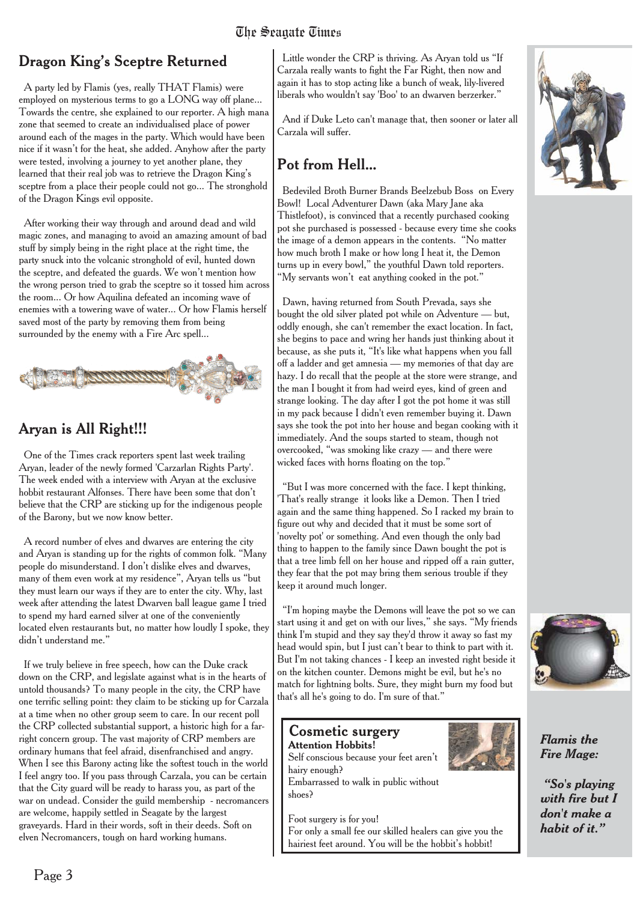#### Dragon King's Sceptre Returned

A party led by Flamis (yes, really THAT Flamis) were employed on mysterious terms to go a LONG way off plane... Towards the centre, she explained to our reporter. A high mana zone that seemed to create an individualised place of power around each of the mages in the party. Which would have been nice if it wasn't for the heat, she added. Anyhow after the party were tested, involving a journey to yet another plane, they learned that their real job was to retrieve the Dragon King's sceptre from a place their people could not go... The stronghold of the Dragon Kings evil opposite.

After working their way through and around dead and wild magic zones, and managing to avoid an amazing amount of bad stuff by simply being in the right place at the right time, the party snuck into the volcanic stronghold of evil, hunted down the sceptre, and defeated the guards. We won't mention how the wrong person tried to grab the sceptre so it tossed him across the room... Or how Aquilina defeated an incoming wave of enemies with a towering wave of water... Or how Flamis herself saved most of the party by removing them from being surrounded by the enemy with a Fire Arc spell...



#### Aryan is All Right!!!

One of the Times crack reporters spent last week trailing Aryan, leader of the newly formed 'Carzarlan Rights Party'. The week ended with a interview with Aryan at the exclusive hobbit restaurant Alfonses. There have been some that don't believe that the CRP are sticking up for the indigenous people of the Barony, but we now know better.

A record number of elves and dwarves are entering the city and Aryan is standing up for the rights of common folk. "Many people do misunderstand. I don't dislike elves and dwarves, many of them even work at my residence", Aryan tells us "but they must learn our ways if they are to enter the city. Why, last week after attending the latest Dwarven ball league game I tried to spend my hard earned silver at one of the conveniently located elven restaurants but, no matter how loudly I spoke, they didn't understand me."

If we truly believe in free speech, how can the Duke crack down on the CRP, and legislate against what is in the hearts of untold thousands? To many people in the city, the CRP have one terrific selling point: they claim to be sticking up for Carzala at a time when no other group seem to care. In our recent poll the CRP collected substantial support, a historic high for a farright concern group. The vast majority of CRP members are ordinary humans that feel afraid, disenfranchised and angry. When I see this Barony acting like the softest touch in the world I feel angry too. If you pass through Carzala, you can be certain that the City guard will be ready to harass you, as part of the war on undead. Consider the guild membership - necromancers are welcome, happily settled in Seagate by the largest graveyards. Hard in their words, soft in their deeds. Soft on elven Necromancers, tough on hard working humans.

Little wonder the CRP is thriving. As Aryan told us "If Carzala really wants to fight the Far Right, then now and again it has to stop acting like a bunch of weak, lily-livered liberals who wouldn't say 'Boo' to an dwarven berzerker."

And if Duke Leto can't manage that, then sooner or later all Carzala will suffer.

#### **Pot from Hell...**

Bedeviled Broth Burner Brands Beelzebub Boss on Every Bowl! Local Adventurer Dawn (aka Mary Jane aka Thistlefoot), is convinced that a recently purchased cooking pot she purchased is possessed - because every time she cooks the image of a demon appears in the contents. "No matter how much broth I make or how long I heat it, the Demon turns up in every bowl," the youthful Dawn told reporters. "My servants won't eat anything cooked in the pot."

Dawn, having returned from South Prevada, says she bought the old silver plated pot while on Adventure — but, oddly enough, she can't remember the exact location. In fact, she begins to pace and wring her hands just thinking about it because, as she puts it, "It's like what happens when you fall off a ladder and get amnesia — my memories of that day are hazy. I do recall that the people at the store were strange, and the man I bought it from had weird eyes, kind of green and strange looking. The day after I got the pot home it was still in my pack because I didn't even remember buying it. Dawn says she took the pot into her house and began cooking with it immediately. And the soups started to steam, though not overcooked, "was smoking like crazy — and there were wicked faces with horns floating on the top."

"But I was more concerned with the face. I kept thinking, 'That's really strange it looks like a Demon. Then I tried again and the same thing happened. So I racked my brain to figure out why and decided that it must be some sort of 'novelty pot' or something. And even though the only bad thing to happen to the family since Dawn bought the pot is that a tree limb fell on her house and ripped off a rain gutter, they fear that the pot may bring them serious trouble if they keep it around much longer.

"I'm hoping maybe the Demons will leave the pot so we can start using it and get on with our lives," she says. "My friends think I'm stupid and they say they'd throw it away so fast my head would spin, but I just can't bear to think to part with it. But I'm not taking chances - I keep an invested right beside it on the kitchen counter. Demons might be evil, but he's no match for lightning bolts. Sure, they might burn my food but that's all he's going to do. I'm sure of that."

#### **Cosmetic surgery Attention Hobbits!**

shoes?

Self conscious because your feet aren't hairy enough? Embarrassed to walk in public without



Foot surgery is for you! For only a small fee our skilled healers can give you the hairiest feet around. You will be the hobbit's hobbit!





*Flamis the Fire Mage:*

*"So's playing with fire but I don't make a habit of it."*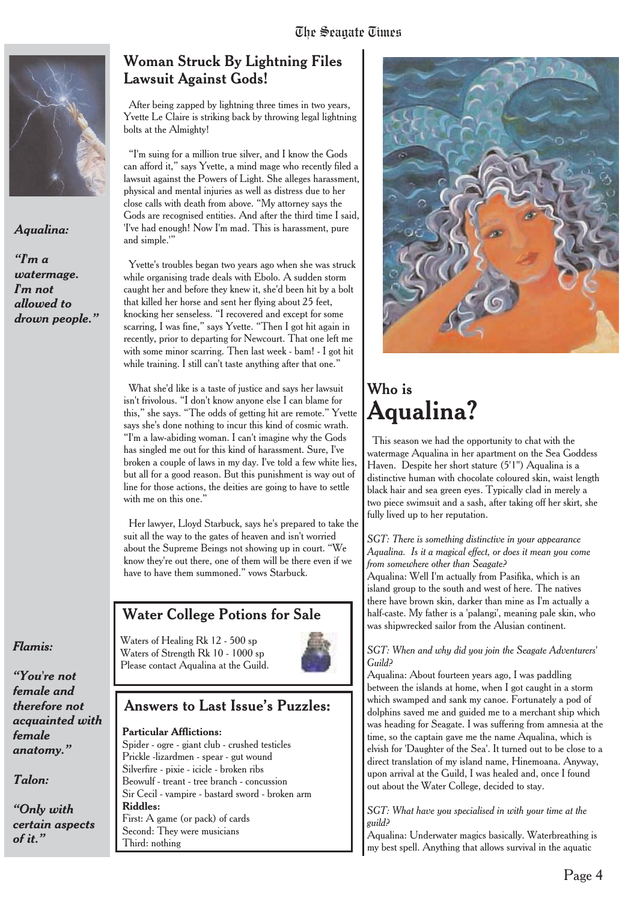

#### *Aqualina:*

*"I'm a watermage. I'm not allowed to drown people."*

#### *Flamis:*

*"You're not female and therefore not acquainted with female anatomy."*

*Talon:*

*"Only with certain aspects of it."*

#### **Woman Struck By Lightning Files Lawsuit Against Gods!**

After being zapped by lightning three times in two years, Yvette Le Claire is striking back by throwing legal lightning bolts at the Almighty!

"I'm suing for a million true silver, and I know the Gods can afford it," says Yvette, a mind mage who recently filed a lawsuit against the Powers of Light. She alleges harassment, physical and mental injuries as well as distress due to her close calls with death from above. "My attorney says the Gods are recognised entities. And after the third time I said, 'I've had enough! Now I'm mad. This is harassment, pure and simple.'"

Yvette's troubles began two years ago when she was struck while organising trade deals with Ebolo. A sudden storm caught her and before they knew it, she'd been hit by a bolt that killed her horse and sent her flying about 25 feet, knocking her senseless. "I recovered and except for some scarring, I was fine," says Yvette. "Then I got hit again in recently, prior to departing for Newcourt. That one left me with some minor scarring. Then last week - bam! - I got hit while training. I still can't taste anything after that one."

What she'd like is a taste of justice and says her lawsuit isn't frivolous. "I don't know anyone else I can blame for this," she says. "The odds of getting hit are remote." Yvette says she's done nothing to incur this kind of cosmic wrath. "I'm a law-abiding woman. I can't imagine why the Gods has singled me out for this kind of harassment. Sure, I've broken a couple of laws in my day. I've told a few white lies, but all for a good reason. But this punishment is way out of line for those actions, the deities are going to have to settle with me on this one.'

Her lawyer, Lloyd Starbuck, says he's prepared to take the suit all the way to the gates of heaven and isn't worried about the Supreme Beings not showing up in court. "We know they're out there, one of them will be there even if we have to have them summoned." vows Starbuck.

#### Water College Potions for Sale

Waters of Healing Rk 12 - 500 sp Waters of Strength Rk 10 - 1000 sp Please contact Aqualina at the Guild.



#### Answers to Last Issue's Puzzles:

#### **Particular Afflictions:**

Spider - ogre - giant club - crushed testicles Prickle -lizardmen - spear - gut wound Silverfire - pixie - icicle - broken ribs Beowulf - treant - tree branch - concussion Sir Cecil - vampire - bastard sword - broken arm **Riddles:** First: A game (or pack) of cards Second: They were musicians Third: nothing



### Who is **Aqualina?**

This season we had the opportunity to chat with the watermage Aqualina in her apartment on the Sea Goddess Haven. Despite her short stature (5'1") Aqualina is a distinctive human with chocolate coloured skin, waist length black hair and sea green eyes. Typically clad in merely a two piece swimsuit and a sash, after taking off her skirt, she fully lived up to her reputation.

#### *SGT: There is something distinctive in your appearance Aqualina. Is it a magical effect, or does it mean you come from somewhere other than Seagate?*

Aqualina: Well I'm actually from Pasifika, which is an island group to the south and west of here. The natives there have brown skin, darker than mine as I'm actually a half-caste. My father is a 'palangi', meaning pale skin, who was shipwrecked sailor from the Alusian continent.

#### *SGT: When and why did you join the Seagate Adventurers' Guild?*

Aqualina: About fourteen years ago, I was paddling between the islands at home, when I got caught in a storm which swamped and sank my canoe. Fortunately a pod of dolphins saved me and guided me to a merchant ship which was heading for Seagate. I was suffering from amnesia at the time, so the captain gave me the name Aqualina, which is elvish for 'Daughter of the Sea'. It turned out to be close to a direct translation of my island name, Hinemoana. Anyway, upon arrival at the Guild, I was healed and, once I found out about the Water College, decided to stay.

*SGT: What have you specialised in with your time at the guild?*

Aqualina: Underwater magics basically. Waterbreathing is my best spell. Anything that allows survival in the aquatic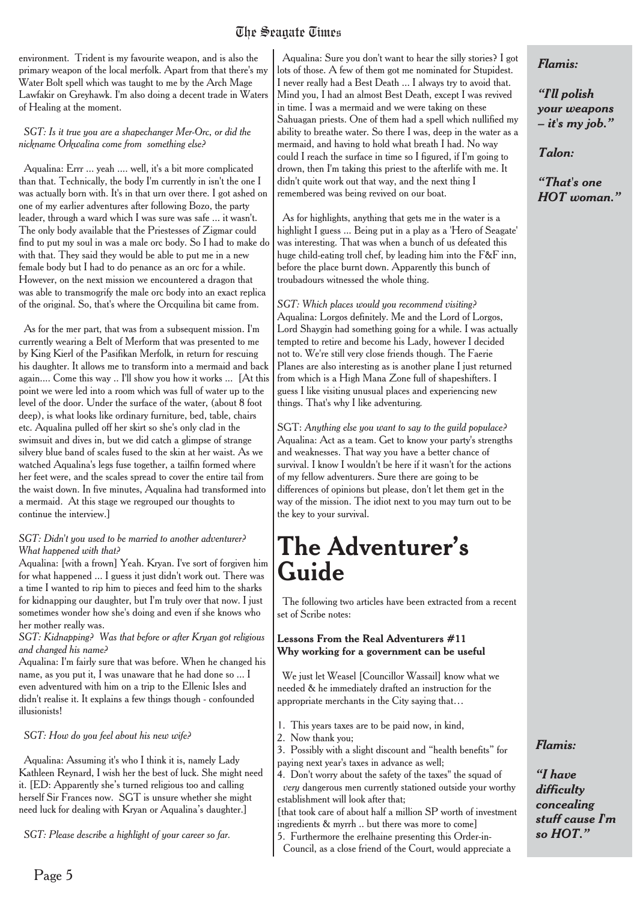#### The Seanate Times The Seagate Times

environment. Trident is my favourite weapon, and is also the primary weapon of the local merfolk. Apart from that there's my Water Bolt spell which was taught to me by the Arch Mage Lawfakir on Greyhawk. I'm also doing a decent trade in Waters of Healing at the moment.

*SGT: Is it true you are a shapechanger Mer-Orc, or did the nickname Orkwalina come from something else?*

Aqualina: Errr ... yeah .... well, it's a bit more complicated than that. Technically, the body I'm currently in isn't the one I was actually born with. It's in that urn over there. I got ashed on one of my earlier adventures after following Bozo, the party leader, through a ward which I was sure was safe ... it wasn't. The only body available that the Priestesses of Zigmar could find to put my soul in was a male orc body. So I had to make do with that. They said they would be able to put me in a new female body but I had to do penance as an orc for a while. However, on the next mission we encountered a dragon that was able to transmogrify the male orc body into an exact replica of the original. So, that's where the Orcquilina bit came from.

As for the mer part, that was from a subsequent mission. I'm currently wearing a Belt of Merform that was presented to me by King Kierl of the Pasifikan Merfolk, in return for rescuing his daughter. It allows me to transform into a mermaid and back again.... Come this way .. I'll show you how it works ... [At this point we were led into a room which was full of water up to the level of the door. Under the surface of the water, (about 8 foot deep), is what looks like ordinary furniture, bed, table, chairs etc. Aqualina pulled off her skirt so she's only clad in the swimsuit and dives in, but we did catch a glimpse of strange silvery blue band of scales fused to the skin at her waist. As we watched Aqualina's legs fuse together, a tailfin formed where her feet were, and the scales spread to cover the entire tail from the waist down. In five minutes, Aqualina had transformed into a mermaid. At this stage we regrouped our thoughts to continue the interview.]

#### *SGT: Didn't you used to be married to another adventurer? What happened with that?*

Aqualina: [with a frown] Yeah. Kryan. I've sort of forgiven him for what happened ... I guess it just didn't work out. There was a time I wanted to rip him to pieces and feed him to the sharks for kidnapping our daughter, but I'm truly over that now. I just sometimes wonder how she's doing and even if she knows who her mother really was.

*SGT: Kidnapping? Was that before or after Kryan got religious and changed his name?*

Aqualina: I'm fairly sure that was before. When he changed his name, as you put it, I was unaware that he had done so ... I even adventured with him on a trip to the Ellenic Isles and didn't realise it. It explains a few things though - confounded illusionists!

#### *SGT: How do you feel about his new wife?*

Aqualina: Assuming it's who I think it is, namely Lady Kathleen Reynard, I wish her the best of luck. She might need it. [ED: Apparently she's turned religious too and calling herself Sir Frances now. SGT is unsure whether she might need luck for dealing with Kryan or Aqualina's daughter.]

*SGT: Please describe a highlight of your career so far.*

Aqualina: Sure you don't want to hear the silly stories? I got lots of those. A few of them got me nominated for Stupidest. I never really had a Best Death ... I always try to avoid that. Mind you, I had an almost Best Death, except I was revived in time. I was a mermaid and we were taking on these Sahuagan priests. One of them had a spell which nullified my ability to breathe water. So there I was, deep in the water as a mermaid, and having to hold what breath I had. No way could I reach the surface in time so I figured, if I'm going to drown, then I'm taking this priest to the afterlife with me. It didn't quite work out that way, and the next thing I remembered was being revived on our boat.

As for highlights, anything that gets me in the water is a highlight I guess ... Being put in a play as a 'Hero of Seagate' was interesting. That was when a bunch of us defeated this huge child-eating troll chef, by leading him into the F&F inn, before the place burnt down. Apparently this bunch of troubadours witnessed the whole thing.

*SGT: Which places would you recommend visiting?* Aqualina: Lorgos definitely. Me and the Lord of Lorgos, Lord Shaygin had something going for a while. I was actually tempted to retire and become his Lady, however I decided not to. We're still very close friends though. The Faerie Planes are also interesting as is another plane I just returned from which is a High Mana Zone full of shapeshifters. I guess I like visiting unusual places and experiencing new things. That's why I like adventuring*.*

SGT: *Anything else you want to say to the guild populace?* Aqualina: Act as a team. Get to know your party's strengths and weaknesses. That way you have a better chance of survival. I know I wouldn't be here if it wasn't for the actions of my fellow adventurers. Sure there are going to be differences of opinions but please, don't let them get in the way of the mission. The idiot next to you may turn out to be the key to your survival.

## **The Adventurer's Guide**

The following two articles have been extracted from a recent set of Scribe notes:

#### **Lessons From the Real Adventurers #11 Why working for a government can be useful**

We just let Weasel [Councillor Wassail] know what we needed & he immediately drafted an instruction for the appropriate merchants in the City saying that…

- 1. This years taxes are to be paid now, in kind,
- 2. Now thank you;
- 3. Possibly with a slight discount and "health benefits" for
- paying next year's taxes in advance as well;
- 4. Don't worry about the safety of the taxes" the squad of *very* dangerous men currently stationed outside your worthy establishment will look after that;

[that took care of about half a million SP worth of investment ingredients & myrrh .. but there was more to come]

5. Furthermore the erelhaine presenting this Order-in-

Council, as a close friend of the Court, would appreciate a

#### *Flamis:*

*"I'll polish your weapons – it's my job."*

*Talon:*

*"That's one HOT woman."*

#### *Flamis:*

*"I have difficulty concealing stuff cause I'm so HOT."*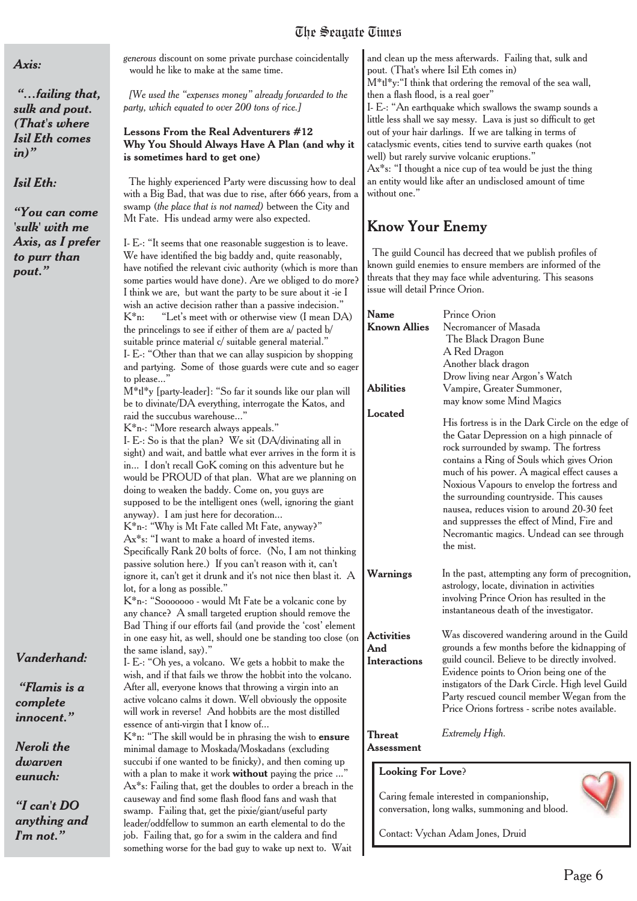#### *Axis:*

*"…failing that, sulk and pout. (That's where Isil Eth comes in)"*

*Isil Eth:*

*"You can come 'sulk' with me Axis, as I prefer to purr than pout."*

*Vanderhand:*

*"Flamis is a complete innocent."*

*Neroli the dwarven eunuch:*

*"I can't DO anything and I'm not."*

*generous* discount on some private purchase coincidentally would he like to make at the same time.

*[We used the "expenses money" already forwarded to the party, which equated to over 200 tons of rice.]*

#### **Lessons From the Real Adventurers #12 Why You Should Always Have A Plan (and why it is sometimes hard to get one)**

The highly experienced Party were discussing how to deal with a Big Bad, that was due to rise, after 666 years, from a swamp (*the place that is not named)* between the City and Mt Fate. His undead army were also expected.

I- E-: "It seems that one reasonable suggestion is to leave. We have identified the big baddy and, quite reasonably, have notified the relevant civic authority (which is more than some parties would have done). Are we obliged to do more? I think we are, but want the party to be sure about it -ie I wish an active decision rather than a passive indecision." K\*n: "Let's meet with or otherwise view (I mean DA) the princelings to see if either of them are a/ pacted b/ suitable prince material c/ suitable general material." I- E-: "Other than that we can allay suspicion by shopping and partying. Some of those guards were cute and so eager to please...' M\*tl\*y [party-leader]: "So far it sounds like our plan will be to divinate/DA everything, interrogate the Katos, and raid the succubus warehouse...' K\*n-: "More research always appeals." I- E-: So is that the plan? We sit (DA/divinating all in sight) and wait, and battle what ever arrives in the form it is in... I don't recall GoK coming on this adventure but he would be PROUD of that plan. What are we planning on doing to weaken the baddy. Come on, you guys are supposed to be the intelligent ones (well, ignoring the giant anyway). I am just here for decoration... K\*n-: "Why is Mt Fate called Mt Fate, anyway?" Ax\*s: "I want to make a hoard of invested items. Specifically Rank 20 bolts of force. (No, I am not thinking passive solution here.) If you can't reason with it, can't ignore it, can't get it drunk and it's not nice then blast it. A lot, for a long as possible." K\*n-: "Sooooooo - would Mt Fate be a volcanic cone by any chance? A small targeted eruption should remove the Bad Thing if our efforts fail (and provide the 'cost' element in one easy hit, as well, should one be standing too close (on the same island, say)." I- E-: "Oh yes, a volcano. We gets a hobbit to make the wish, and if that fails we throw the hobbit into the volcano. After all, everyone knows that throwing a virgin into an active volcano calms it down. Well obviously the opposite will work in reverse! And hobbits are the most distilled essence of anti-virgin that I know of... K\*n: "The skill would be in phrasing the wish to **ensure** minimal damage to Moskada/Moskadans (excluding succubi if one wanted to be finicky), and then coming up with a plan to make it work **without** paying the price ..."

Ax\*s: Failing that, get the doubles to order a breach in the causeway and find some flash flood fans and wash that swamp. Failing that, get the pixie/giant/useful party leader/oddfellow to summon an earth elemental to do the job. Failing that, go for a swim in the caldera and find something worse for the bad guy to wake up next to. Wait

and clean up the mess afterwards. Failing that, sulk and pout. (That's where Isil Eth comes in)

M\*tl\*y:"I think that ordering the removal of the sea wall, then a flash flood, is a real goer"

I- E-: "An earthquake which swallows the swamp sounds a little less shall we say messy. Lava is just so difficult to get out of your hair darlings. If we are talking in terms of cataclysmic events, cities tend to survive earth quakes (not well) but rarely survive volcanic eruptions."

Ax\*s: "I thought a nice cup of tea would be just the thing an entity would like after an undisclosed amount of time without one."

#### **Know Your Enemy**

The guild Council has decreed that we publish profiles of known guild enemies to ensure members are informed of the threats that they may face while adventuring. This seasons issue will detail Prince Orion.

| Name<br><b>Known Allies</b>                     | Prince Orion<br>Necromancer of Masada<br>The Black Dragon Bune<br>A Red Dragon<br>Another black dragon<br>Drow living near Argon's Watch                                                                                                                                                                                                                                                                                                                                                    |
|-------------------------------------------------|---------------------------------------------------------------------------------------------------------------------------------------------------------------------------------------------------------------------------------------------------------------------------------------------------------------------------------------------------------------------------------------------------------------------------------------------------------------------------------------------|
| <b>Abilities</b>                                | Vampire, Greater Summoner,<br>may know some Mind Magics                                                                                                                                                                                                                                                                                                                                                                                                                                     |
| Located                                         | His fortress is in the Dark Circle on the edge of<br>the Gatar Depression on a high pinnacle of<br>rock surrounded by swamp. The fortress<br>contains a Ring of Souls which gives Orion<br>much of his power. A magical effect causes a<br>Noxious Vapours to envelop the fortress and<br>the surrounding countryside. This causes<br>nausea, reduces vision to around 20-30 feet<br>and suppresses the effect of Mind, Fire and<br>Necromantic magics. Undead can see through<br>the mist. |
| Warnings                                        | In the past, attempting any form of precognition,<br>astrology, locate, divination in activities<br>involving Prince Orion has resulted in the<br>instantaneous death of the investigator.                                                                                                                                                                                                                                                                                                  |
| <b>Activities</b><br>And<br><b>Interactions</b> | Was discovered wandering around in the Guild<br>grounds a few months before the kidnapping of<br>guild council. Believe to be directly involved.<br>Evidence points to Orion being one of the<br>instigators of the Dark Circle. High level Guild<br>Party rescued council member Wegan from the<br>Price Orions fortress - scribe notes available.                                                                                                                                         |
| <b>Threat</b>                                   | Extremely High.                                                                                                                                                                                                                                                                                                                                                                                                                                                                             |

**Assessment**

#### **Looking For Love**?

Caring female interested in companionship, conversation, long walks, summoning and blood.

Contact: Vychan Adam Jones, Druid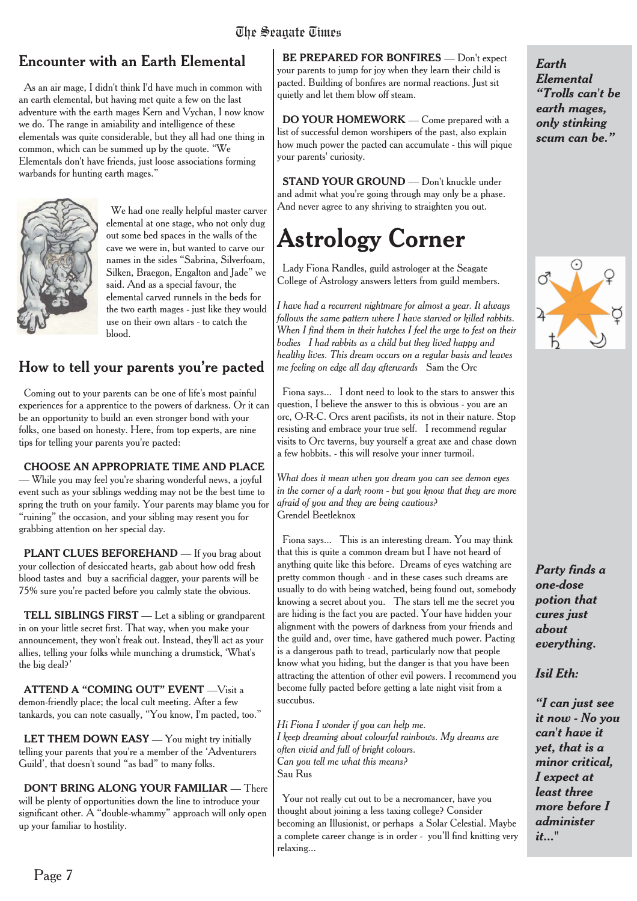#### Encounter with an Earth Elemental

As an air mage, I didn't think I'd have much in common with an earth elemental, but having met quite a few on the last adventure with the earth mages Kern and Vychan, I now know we do. The range in amiability and intelligence of these elementals was quite considerable, but they all had one thing in common, which can be summed up by the quote. "We Elementals don't have friends, just loose associations forming warbands for hunting earth mages."



We had one really helpful master carver elemental at one stage, who not only dug out some bed spaces in the walls of the cave we were in, but wanted to carve our names in the sides "Sabrina, Silverfoam, Silken, Braegon, Engalton and Jade" we said. And as a special favour, the elemental carved runnels in the beds for the two earth mages - just like they would use on their own altars - to catch the blood.

#### How to tell your parents you're pacted

Coming out to your parents can be one of life's most painful experiences for a apprentice to the powers of darkness. Or it can be an opportunity to build an even stronger bond with your folks, one based on honesty. Here, from top experts, are nine tips for telling your parents you're pacted:

**CHOOSE AN APPROPRIATE TIME AND PLACE** — While you may feel you're sharing wonderful news, a joyful event such as your siblings wedding may not be the best time to spring the truth on your family. Your parents may blame you for "ruining" the occasion, and your sibling may resent you for grabbing attention on her special day.

PLANT CLUES BEFOREHAND - If you brag about your collection of desiccated hearts, gab about how odd fresh blood tastes and buy a sacrificial dagger, your parents will be 75% sure you're pacted before you calmly state the obvious.

**TELL SIBLINGS FIRST** — Let a sibling or grandparent in on your little secret first. That way, when you make your announcement, they won't freak out. Instead, they'll act as your allies, telling your folks while munching a drumstick, 'What's the big deal?'

**ATTEND A "COMING OUT" EVENT** —Visit a demon-friendly place; the local cult meeting. After a few tankards, you can note casually, "You know, I'm pacted, too."

**LET THEM DOWN EASY** — You might try initially telling your parents that you're a member of the 'Adventurers Guild', that doesn't sound "as bad" to many folks.

**DON'T BRING ALONG YOUR FAMILIAR** — There will be plenty of opportunities down the line to introduce your significant other. A "double-whammy" approach will only open up your familiar to hostility.

**BE PREPARED FOR BONFIRES** — Don't expect your parents to jump for joy when they learn their child is pacted. Building of bonfires are normal reactions. Just sit quietly and let them blow off steam.

**DO YOUR HOMEWORK** — Come prepared with a list of successful demon worshipers of the past, also explain how much power the pacted can accumulate - this will pique your parents' curiosity.

**STAND YOUR GROUND** — Don't knuckle under and admit what you're going through may only be a phase. And never agree to any shriving to straighten you out.

# **Astrology Corner**

Lady Fiona Randles, guild astrologer at the Seagate College of Astrology answers letters from guild members.

*I have had a recurrent nightmare for almost a year. It always follows the same pattern where I have starved or killed rabbits. When I find them in their hutches I feel the urge to fest on their bodies I had rabbits as a child but they lived happy and healthy lives. This dream occurs on a regular basis and leaves me feeling on edge all day afterwards* Sam the Orc

Fiona says... I dont need to look to the stars to answer this question, I believe the answer to this is obvious - you are an orc, O-R-C. Orcs arent pacifists, its not in their nature. Stop resisting and embrace your true self. I recommend regular visits to Orc taverns, buy yourself a great axe and chase down a few hobbits. - this will resolve your inner turmoil.

*What does it mean when you dream you can see demon eyes in the corner of a dark room - but you know that they are more afraid of you and they are being cautious?* Grendel Beetleknox

Fiona says... This is an interesting dream. You may think that this is quite a common dream but I have not heard of anything quite like this before. Dreams of eyes watching are pretty common though - and in these cases such dreams are usually to do with being watched, being found out, somebody knowing a secret about you. The stars tell me the secret you are hiding is the fact you are pacted. Your have hidden your alignment with the powers of darkness from your friends and the guild and, over time, have gathered much power. Pacting is a dangerous path to tread, particularly now that people know what you hiding, but the danger is that you have been attracting the attention of other evil powers. I recommend you become fully pacted before getting a late night visit from a succubus.

*Hi Fiona I wonder if you can help me. I keep dreaming about colourful rainbows. My dreams are often vivid and full of bright colours. Can you tell me what this means?* Sau Rus

Your not really cut out to be a necromancer, have you thought about joining a less taxing college? Consider becoming an Illusionist, or perhaps a Solar Celestial. Maybe a complete career change is in order - you'll find knitting very relaxing...

*Earth Elemental "Trolls can't be earth mages, only stinking scum can be."*



*Party finds a one-dose potion that cures just about everything.*

#### *Isil Eth:*

*"I can just see it now - No you can't have it yet, that is a minor critical, I expect at least three more before I administer it..."*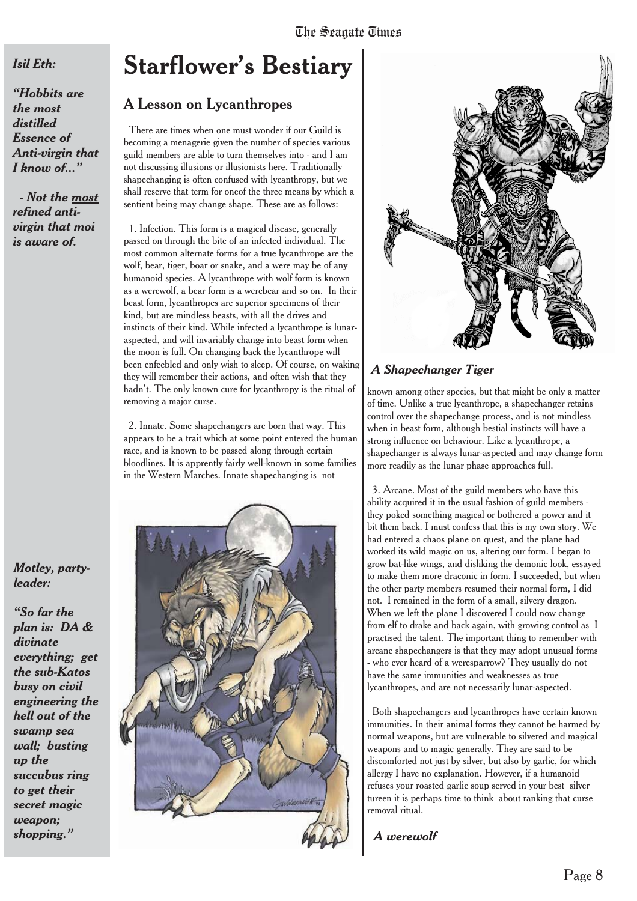#### *Isil Eth:*

*"Hobbits are the most distilled Essence of Anti-virgin that I know of..."*

*- Not the most refined antivirgin that moi is aware of.*

#### *Motley, partyleader:*

*"So far the plan is: DA & divinate everything; get the sub-Katos busy on civil engineering the hell out of the swamp sea wall; busting up the succubus ring to get their secret magic weapon; shopping."*

### **Starflower's Bestiary**

#### A Lesson on Lycanthropes

There are times when one must wonder if our Guild is becoming a menagerie given the number of species various guild members are able to turn themselves into - and I am not discussing illusions or illusionists here. Traditionally shapechanging is often confused with lycanthropy, but we shall reserve that term for oneof the three means by which a sentient being may change shape. These are as follows:

1. Infection. This form is a magical disease, generally passed on through the bite of an infected individual. The most common alternate forms for a true lycanthrope are the wolf, bear, tiger, boar or snake, and a were may be of any humanoid species. A lycanthrope with wolf form is known as a werewolf, a bear form is a werebear and so on. In their beast form, lycanthropes are superior specimens of their kind, but are mindless beasts, with all the drives and instincts of their kind. While infected a lycanthrope is lunaraspected, and will invariably change into beast form when the moon is full. On changing back the lycanthrope will been enfeebled and only wish to sleep. Of course, on waking they will remember their actions, and often wish that they hadn't. The only known cure for lycanthropy is the ritual of removing a major curse.

2. Innate. Some shapechangers are born that way. This appears to be a trait which at some point entered the human race, and is known to be passed along through certain bloodlines. It is apprently fairly well-known in some families in the Western Marches. Innate shapechanging is not





#### *A Shapechanger Tiger*

known among other species, but that might be only a matter of time. Unlike a true lycanthrope, a shapechanger retains control over the shapechange process, and is not mindless when in beast form, although bestial instincts will have a strong influence on behaviour. Like a lycanthrope, a shapechanger is always lunar-aspected and may change form more readily as the lunar phase approaches full.

3. Arcane. Most of the guild members who have this ability acquired it in the usual fashion of guild members they poked something magical or bothered a power and it bit them back. I must confess that this is my own story. We had entered a chaos plane on quest, and the plane had worked its wild magic on us, altering our form. I began to grow bat-like wings, and disliking the demonic look, essayed to make them more draconic in form. I succeeded, but when the other party members resumed their normal form, I did not. I remained in the form of a small, silvery dragon. When we left the plane I discovered I could now change from elf to drake and back again, with growing control as I practised the talent. The important thing to remember with arcane shapechangers is that they may adopt unusual forms - who ever heard of a weresparrow? They usually do not have the same immunities and weaknesses as true lycanthropes, and are not necessarily lunar-aspected.

Both shapechangers and lycanthropes have certain known immunities. In their animal forms they cannot be harmed by normal weapons, but are vulnerable to silvered and magical weapons and to magic generally. They are said to be discomforted not just by silver, but also by garlic, for which allergy I have no explanation. However, if a humanoid refuses your roasted garlic soup served in your best silver tureen it is perhaps time to think about ranking that curse removal ritual.

*A werewolf*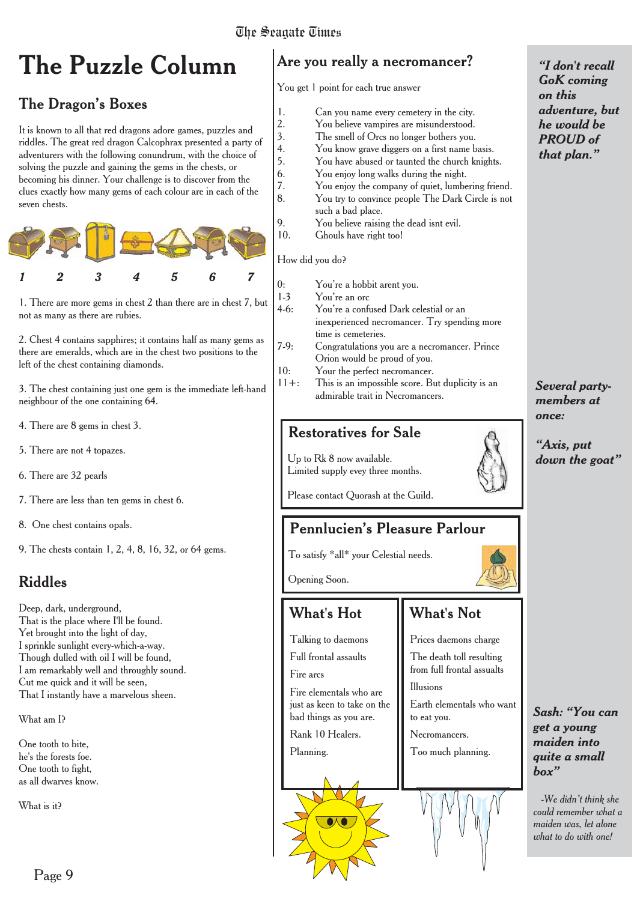# **The Puzzle Column**

#### The Dragon's Boxes

It is known to all that red dragons adore games, puzzles and riddles. The great red dragon Calcophrax presented a party of adventurers with the following conundrum, with the choice of solving the puzzle and gaining the gems in the chests, or becoming his dinner. Your challenge is to discover from the clues exactly how many gems of each colour are in each of the seven chests.



1. There are more gems in chest 2 than there are in chest 7, but not as many as there are rubies.  $1-3$ 

2. Chest 4 contains sapphires; it contains half as many gems as there are emeralds, which are in the chest two positions to the left of the chest containing diamonds.

3. The chest containing just one gem is the immediate left-hand neighbour of the one containing 64.

- 4. There are 8 gems in chest 3.
- 5. There are not 4 topazes.

6. There are 32 pearls

7. There are less than ten gems in chest 6.

8. One chest contains opals.

9. The chests contain 1, 2, 4, 8, 16, 32, or 64 gems.

#### Riddles

Deep, dark, underground, That is the place where I'll be found. Yet brought into the light of day, I sprinkle sunlight every-which-a-way. Though dulled with oil I will be found, I am remarkably well and throughly sound. Cut me quick and it will be seen, That I instantly have a marvelous sheen.

What am I?

One tooth to bite, he's the forests foe. One tooth to fight, as all dwarves know.

What is it?

#### Are you really a necromancer?

You get 1 point for each true answer

- 1. Can you name every cemetery in the city.
- 2. You believe vampires are misunderstood.
- 3. The smell of Orcs no longer bothers you.<br>4. You know grave diggers on a first name b
- You know grave diggers on a first name basis. 5. You have abused or taunted the church knights.
- 6. You enjoy long walks during the night.
- 7. You enjoy the company of quiet, lumbering friend.
- 8. You try to convince people The Dark Circle is not
- such a bad place. 9. You believe raising the dead isnt evil.
- 10. Ghouls have right too!

How did you do?

| 0:       | You're a hobbit arent you.                       |
|----------|--------------------------------------------------|
| $1-3$    | You're an orc                                    |
| $4-6:$   | You're a confused Dark celestial or an           |
|          | inexperienced necromancer. Try spending more     |
|          | time is cemeteries.                              |
| $7-9:$   | Congratulations you are a necromancer. Prince    |
|          | Orion would be proud of you.                     |
| 10:      | Your the perfect necromancer.                    |
| $11 +$ : | This is an impossible score. But duplicity is an |
|          | admirable trait in Necromancers.                 |
|          |                                                  |

#### Restoratives for Sale

Up to Rk 8 now available. Limited supply evey three months.

Please contact Quorash at the Guild.

#### **Pennlucien's Pleasure Parlour**

To satisfy \*all\* your Celestial needs.

Opening Soon.

#### What's Hot

Talking to daemons

Full frontal assaults

Fire arcs

Fire elementals who are just as keen to take on the bad things as you are.

Rank 10 Healers.

Planning.

#### What's Not

Prices daemons charge The death toll resulting

from full frontal assualts Illusions

Earth elementals who want to eat you.

- Necromancers.
- Too much planning.



*"I don't recall GoK coming on this adventure, but he would be PROUD of that plan."*

*Several partymembers at once:*

*"Axis, put down the goat"*

*Sash: "You can get a young maiden into quite a small box"*

*-We didn't think she could remember what a maiden was, let alone what to do with one!*